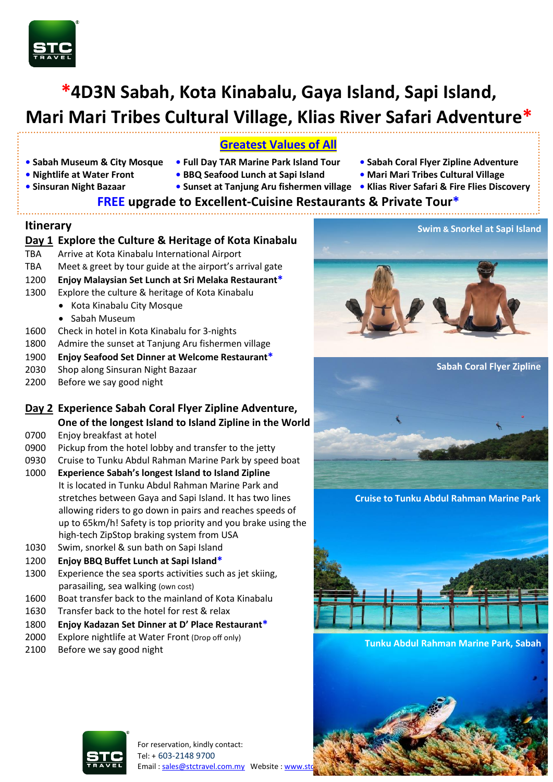

# **\*4D3N Sabah, Kota Kinabalu, Gaya Island, Sapi Island, Mari Mari Tribes Cultural Village, Klias River Safari Adventure\***

## **Greatest Values of All**

- **• Sabah Museum & City Mosque Full Day TAR Marine Park Island Tour Sabah Coral Flyer Zipline Adventure**
	-
- 
- 
- **Nightlife at Water Front BBQ Seafood Lunch at Sapi Island Mari Mari Tribes Cultural Village**
	-
- **Sinsuran Night Bazaar Sunset at Tanjung Aru fishermen village • Klias River Safari & Fire Flies Discovery**

# **FREE upgrade to Excellent-Cuisine Restaurants & Private Tour\***

## **Itinerary**

|            | Day 1 Explore the Culture & Heritage of Kota Kinabalu    |  |  |  |  |  |
|------------|----------------------------------------------------------|--|--|--|--|--|
| <b>TBA</b> | Arrive at Kota Kinabalu International Airport            |  |  |  |  |  |
| TBA        | Meet & greet by tour guide at the airport's arrival gate |  |  |  |  |  |
| 1200       | Enjoy Malaysian Set Lunch at Sri Melaka Restaurant*      |  |  |  |  |  |
| 1300       | Explore the culture & heritage of Kota Kinabalu          |  |  |  |  |  |
|            | • Kota Kinabalu City Mosque                              |  |  |  |  |  |
|            | Sabah Museum<br>$\bullet$                                |  |  |  |  |  |
| 1600       | Check in hotel in Kota Kinabalu for 3-nights             |  |  |  |  |  |
| 1800       | Admire the sunset at Tanjung Aru fishermen village       |  |  |  |  |  |
| 1900       | Enjoy Seafood Set Dinner at Welcome Restaurant*          |  |  |  |  |  |
| <u>___</u> | Charles and Charles Mitchell Co. 2014                    |  |  |  |  |  |

2030 Shop along Sinsuran Night Bazaar 2200 Before we say good night

# **Day 2 Experience Sabah Coral Flyer Zipline Adventure, One of the longest Island to Island Zipline in the World**

- 0700 Enjoy breakfast at hotel
- 0900 Pickup from the hotel lobby and transfer to the jetty
- 0930 Cruise to Tunku Abdul Rahman Marine Park by speed boat
- 1000 **Experience Sabah's longest Island to Island Zipline**  It is located in Tunku Abdul Rahman Marine Park and stretches between Gaya and Sapi Island. It has two lines allowing riders to go down in pairs and reaches speeds of up to 65km/h! Safety is top priority and you brake using the high-tech ZipStop braking system from USA
- 1030 Swim, snorkel & sun bath on Sapi Island
- 1200 **Enjoy BBQ Buffet Lunch at Sapi Island\***
- 1300 Experience the sea sports activities such as jet skiing, parasailing, sea walking (own cost)
- 1600 Boat transfer back to the mainland of Kota Kinabalu
- 1630 Transfer back to the hotel for rest & relax
- 1800 **Enjoy Kadazan Set Dinner at D' Place Restaurant\***
- 2000 Explore nightlife at Water Front (Drop off only)
- 2100 Before we say good night





**Cruise to Tunku Abdul Rahman Marine Park**



**Tunku Abdul Rahman Marine Park, Sabah**



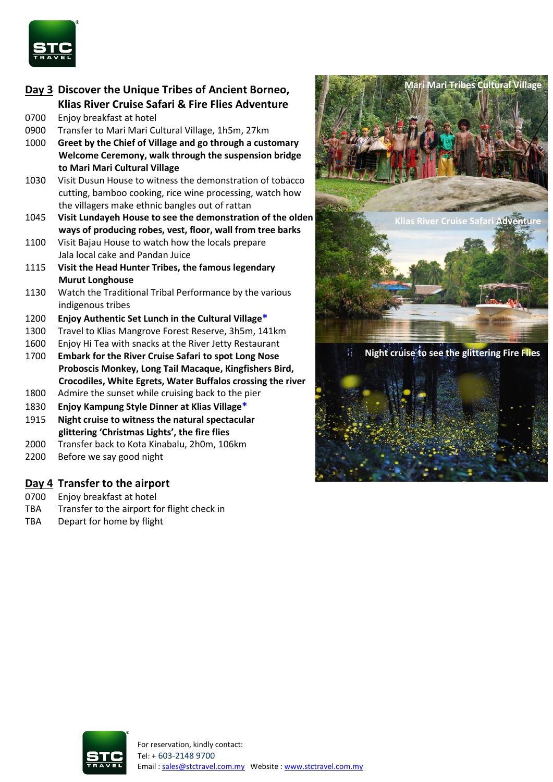

## **Day 3 Discover the Unique Tribes of Ancient Borneo, Klias River Cruise Safari & Fire Flies Adventure** 0700 Enjoy breakfast at hotel

- 0900 Transfer to Mari Mari Cultural Village, 1h5m, 27km
- 1000 **Greet by the Chief of Village and go through a customary Welcome Ceremony, walk through the suspension bridge to Mari Mari Cultural Village**
- 1030 Visit Dusun House to witness the demonstration of tobacco cutting, bamboo cooking, rice wine processing, watch how the villagers make ethnic bangles out of rattan
- 1045 **Visit Lundayeh House to see the demonstration of the olden ways of producing robes, vest, floor, wall from tree barks**
- 1100 Visit Bajau House to watch how the locals prepare Jala local cake and Pandan Juice
- 1115 **Visit the Head Hunter Tribes, the famous legendary Murut Longhouse**
- 1130 Watch the Traditional Tribal Performance by the various indigenous tribes
- 1200 **Enjoy Authentic Set Lunch in the Cultural Village\***
- 1300 Travel to Klias Mangrove Forest Reserve, 3h5m, 141km
- 1600 Enjoy Hi Tea with snacks at the River Jetty Restaurant
- 1700 **Embark for the River Cruise Safari to spot Long Nose Proboscis Monkey, Long Tail Macaque, Kingfishers Bird, Crocodiles, White Egrets, Water Buffalos crossing the river**
- 1800 Admire the sunset while cruising back to the pier
- 1830 **Enjoy Kampung Style Dinner at Klias Village\***
- 1915 **Night cruise to witness the natural spectacular glittering 'Christmas Lights', the fire flies**
- 2000 Transfer back to Kota Kinabalu, 2h0m, 106km
- 2200 Before we say good night

## **Day 4 Transfer to the airport**

- 0700 Enjoy breakfast at hotel
- TBA Transfer to the airport for flight check in
- TBA Depart for home by flight